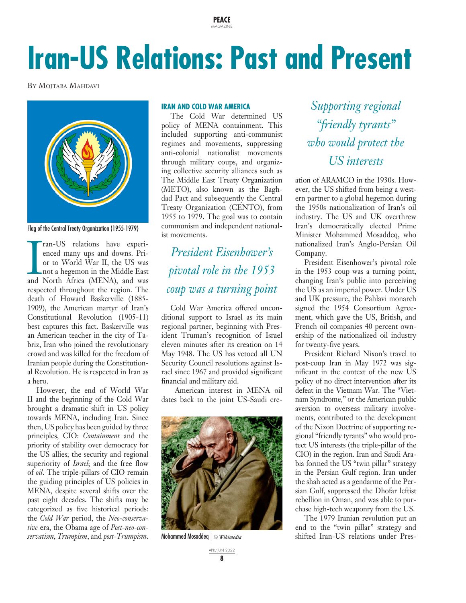**PEACE** MAGAZINE

# **Iran-US Relations: Past and Present**

BY MOJTABA MAHDAVI



Flag of the Central Treaty Organization (1955-1979)

ran-US relations have experienced many ups and downs. Prior to World War II, the US was not a hegemon in the Middle East and North Africa (MENA), and was ran-US relations have experienced many ups and downs. Prior to World War II, the US was not a hegemon in the Middle East respected throughout the region. The death of Howard Baskerville (1885- 1909), the American martyr of Iran's Constitutional Revolution (1905-11) best captures this fact. Baskerville was an American teacher in the city of Tabriz, Iran who joined the revolutionary crowd and was killed for the freedom of Iranian people during the Constitutional Revolution. He is respected in Iran as a hero.

However, the end of World War II and the beginning of the Cold War brought a dramatic shift in US policy towards MENA, including Iran. Since then, US policy has been guided by three principles, CIO: *Containment* and the priority of stability over democracy for the US allies; the security and regional superiority of *Israel*; and the free flow of *oil*. The triple-pillars of CIO remain the guiding principles of US policies in MENA, despite several shifts over the past eight decades. The shifts may be categorized as five historical periods: the *Cold War* period, the *Neo-conservative* era, the Obama age of *Post-neo-conservatism*, *Trumpism*, and *post-Trumpism*.

#### **IRAN AND COLD WAR AMERICA**

The Cold War determined US policy of MENA containment. This included supporting anti-communist regimes and movements, suppressing anti-colonial nationalist movements through military coups, and organizing collective security alliances such as The Middle East Treaty Organization (METO), also known as the Baghdad Pact and subsequently the Central Treaty Organization (CENTO), from 1955 to 1979. The goal was to contain communism and independent nationalist movements.

## *President Eisenhower's pivotal role in the 1953 coup was a turning point*

Cold War America offered unconditional support to Israel as its main regional partner, beginning with President Truman's recognition of Israel eleven minutes after its creation on 14 May 1948. The US has vetoed all UN Security Council resolutions against Israel since 1967 and provided significant financial and military aid.

 American interest in MENA oil dates back to the joint US-Saudi cre-



Mohammed Mosaddeq | *© Wikimedia*

*Supporting regional "friendly tyrants" who would protect the US interests*

ation of ARAMCO in the 1930s. However, the US shifted from being a western partner to a global hegemon during the 1950s nationalization of Iran's oil industry. The US and UK overthrew Iran's democratically elected Prime Minister Mohammed Mosaddeq, who nationalized Iran's Anglo-Persian Oil Company.

President Eisenhower's pivotal role in the 1953 coup was a turning point, changing Iran's public into perceiving the US as an imperial power. Under US and UK pressure, the Pahlavi monarch signed the 1954 Consortium Agreement, which gave the US, British, and French oil companies 40 percent ownership of the nationalized oil industry for twenty-five years.

President Richard Nixon's travel to post-coup Iran in May 1972 was significant in the context of the new US policy of no direct intervention after its defeat in the Vietnam War. The "Vietnam Syndrome," or the American public aversion to overseas military involvements, contributed to the development of the Nixon Doctrine of supporting regional "friendly tyrants" who would protect US interests (the triple-pillar of the CIO) in the region. Iran and Saudi Arabia formed the US "twin pillar" strategy in the Persian Gulf region. Iran under the shah acted as a gendarme of the Persian Gulf, suppressed the Dhofar leftist rebellion in Oman, and was able to purchase high-tech weaponry from the US.

The 1979 Iranian revolution put an end to the "twin pillar" strategy and shifted Iran-US relations under Pres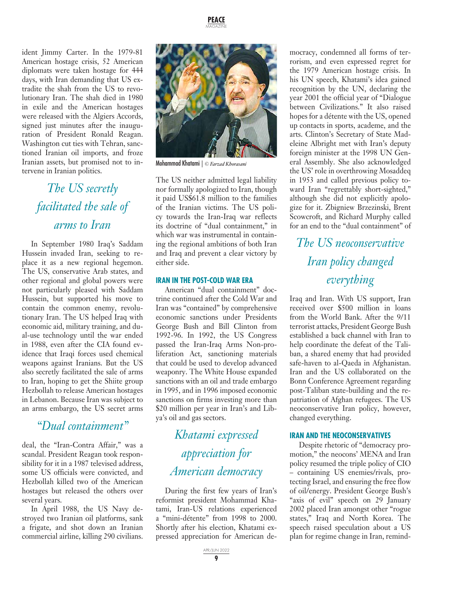ident Jimmy Carter. In the 1979-81 American hostage crisis, 52 American diplomats were taken hostage for 444 days, with Iran demanding that US extradite the shah from the US to revolutionary Iran. The shah died in 1980 in exile and the American hostages were released with the Algiers Accords, signed just minutes after the inauguration of President Ronald Reagan. Washington cut ties with Tehran, sanctioned Iranian oil imports, and froze Iranian assets, but promised not to intervene in Iranian politics.

## *The US secretly facilitated the sale of arms to Iran*

In September 1980 Iraq's Saddam Hussein invaded Iran, seeking to replace it as a new regional hegemon. The US, conservative Arab states, and other regional and global powers were not particularly pleased with Saddam Hussein, but supported his move to contain the common enemy, revolutionary Iran. The US helped Iraq with economic aid, military training, and dual-use technology until the war ended in 1988, even after the CIA found evidence that Iraqi forces used chemical weapons against Iranians. But the US also secretly facilitated the sale of arms to Iran, hoping to get the Shiite group Hezbollah to release American hostages in Lebanon. Because Iran was subject to an arms embargo, the US secret arms

### *"Dual containment"*

deal, the "Iran-Contra Affair," was a scandal. President Reagan took responsibility for it in a 1987 televised address, some US officials were convicted, and Hezbollah killed two of the American hostages but released the others over several years.

In April 1988, the US Navy destroyed two Iranian oil platforms, sank a frigate, and shot down an Iranian commercial airline, killing 290 civilians.



Mohammad Khatami | *© Farzad Khorasani*

The US neither admitted legal liability nor formally apologized to Iran, though it paid US\$61.8 million to the families of the Iranian victims. The US policy towards the Iran-Iraq war reflects its doctrine of "dual containment," in which war was instrumental in containing the regional ambitions of both Iran and Iraq and prevent a clear victory by either side.

#### **IRAN IN THE POST-COLD WAR ERA**

American "dual containment" doctrine continued after the Cold War and Iran was "contained" by comprehensive economic sanctions under Presidents George Bush and Bill Clinton from 1992-96. In 1992, the US Congress passed the Iran-Iraq Arms Non-proliferation Act, sanctioning materials that could be used to develop advanced weaponry. The White House expanded sanctions with an oil and trade embargo in 1995, and in 1996 imposed economic sanctions on firms investing more than \$20 million per year in Iran's and Libya's oil and gas sectors.

> *Khatami expressed appreciation for American democracy*

During the first few years of Iran's reformist president Mohammad Khatami, Iran-US relations experienced a "mini-détente" from 1998 to 2000. Shortly after his election, Khatami expressed appreciation for American de-

mocracy, condemned all forms of terrorism, and even expressed regret for the 1979 American hostage crisis. In his UN speech, Khatami's idea gained recognition by the UN, declaring the year 2001 the official year of "Dialogue between Civilizations." It also raised hopes for a détente with the US, opened up contacts in sports, academe, and the arts. Clinton's Secretary of State Madeleine Albright met with Iran's deputy foreign minister at the 1998 UN General Assembly. She also acknowledged the US' role in overthrowing Mosaddeq in 1953 and called previous policy toward Iran "regrettably short-sighted," although she did not explicitly apologize for it. Zbigniew Brzezinski, Brent Scowcroft, and Richard Murphy called for an end to the "dual containment" of

### *The US neoconservative Iran policy changed everything*

Iraq and Iran. With US support, Iran received over \$500 million in loans from the World Bank. After the 9/11 terrorist attacks, President George Bush established a back channel with Iran to help coordinate the defeat of the Taliban, a shared enemy that had provided safe-haven to al-Qaeda in Afghanistan. Iran and the US collaborated on the Bonn Conference Agreement regarding post-Taliban state-building and the repatriation of Afghan refugees. The US neoconservative Iran policy, however, changed everything.

#### **IRAN AND THE NEOCONSERVATIVES**

Despite rhetoric of "democracy promotion," the neocons' MENA and Iran policy resumed the triple policy of CIO – containing US enemies/rivals, protecting Israel, and ensuring the free flow of oil/energy. President George Bush's "axis of evil" speech on 29 January 2002 placed Iran amongst other "rogue states," Iraq and North Korea. The speech raised speculation about a US plan for regime change in Iran, remind-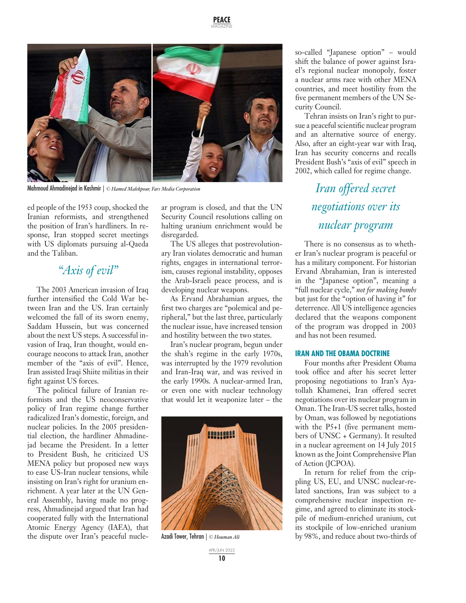

Mahmoud Ahmadinejad in Kashmir | *© Hamed Malekpour, Fars Media Corporation*

ed people of the 1953 coup, shocked the Iranian reformists, and strengthened the position of Iran's hardliners. In response, Iran stopped secret meetings with US diplomats pursuing al-Qaeda and the Taliban.

### *"Axis of evil"*

The 2003 American invasion of Iraq further intensified the Cold War between Iran and the US. Iran certainly welcomed the fall of its sworn enemy, Saddam Hussein, but was concerned about the next US steps. A successful invasion of Iraq, Iran thought, would encourage neocons to attack Iran, another member of the "axis of evil". Hence, Iran assisted Iraqi Shiite militias in their fight against US forces.

The political failure of Iranian reformists and the US neoconservative policy of Iran regime change further radicalized Iran's domestic, foreign, and nuclear policies. In the 2005 presidential election, the hardliner Ahmadinejad became the President. In a letter to President Bush, he criticized US MENA policy but proposed new ways to ease US-Iran nuclear tensions, while insisting on Iran's right for uranium enrichment. A year later at the UN General Assembly, having made no progress, Ahmadinejad argued that Iran had cooperated fully with the International Atomic Energy Agency (IAEA), that the dispute over Iran's peaceful nuclear program is closed, and that the UN Security Council resolutions calling on halting uranium enrichment would be disregarded.

The US alleges that postrevolutionary Iran violates democratic and human rights, engages in international terrorism, causes regional instability, opposes the Arab-Israeli peace process, and is developing nuclear weapons.

As Ervand Abrahamian argues, the first two charges are "polemical and peripheral," but the last three, particularly the nuclear issue, have increased tension and hostility between the two states.

Iran's nuclear program, begun under the shah's regime in the early 1970s, was interrupted by the 1979 revolution and Iran-Iraq war, and was revived in the early 1990s. A nuclear-armed Iran, or even one with nuclear technology that would let it weaponize later – the



Azadi Tower, Tehran | *© Houman Ali*

so-called "Japanese option" – would shift the balance of power against Israel's regional nuclear monopoly, foster a nuclear arms race with other MENA countries, and meet hostility from the five permanent members of the UN Security Council.

Tehran insists on Iran's right to pursue a peaceful scientific nuclear program and an alternative source of energy. Also, after an eight-year war with Iraq, Iran has security concerns and recalls President Bush's "axis of evil" speech in 2002, which called for regime change.

> *Iran offered secret negotiations over its nuclear program*

There is no consensus as to whether Iran's nuclear program is peaceful or has a military component. For historian Ervand Abrahamian, Iran is interested in the "Japanese option", meaning a "full nuclear cycle," *not for making bombs* but just for the "option of having it" for deterrence. All US intelligence agencies declared that the weapons component of the program was dropped in 2003 and has not been resumed.

#### **IRAN AND THE OBAMA DOCTRINE**

Four months after President Obama took office and after his secret letter proposing negotiations to Iran's Ayatollah Khamenei, Iran offered secret negotiations over its nuclear program in Oman. The Iran-US secret talks, hosted by Oman, was followed by negotiations with the P5+1 (five permanent members of UNSC + Germany). It resulted in a nuclear agreement on 14 July 2015 known as the Joint Comprehensive Plan of Action (JCPOA).

In return for relief from the crippling US, EU, and UNSC nuclear-related sanctions, Iran was subject to a comprehensive nuclear inspection regime, and agreed to eliminate its stockpile of medium-enriched uranium, cut its stockpile of low-enriched uranium by 98%, and reduce about two-thirds of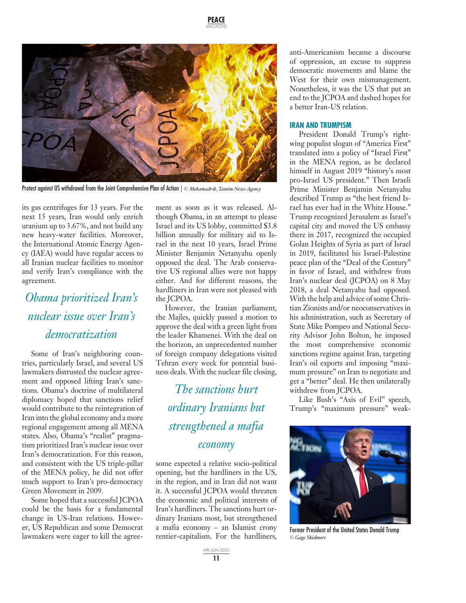

Protest against US withdrawal from the Joint Comprehensive Plan of Action | *© Mohamadrsk, Tasnim News Agency*

its gas centrifuges for 13 years. For the next 15 years, Iran would only enrich uranium up to 3.67%, and not build any new heavy-water facilities. Moreover, the International Atomic Energy Agency (IAEA) would have regular access to all Iranian nuclear facilities to monitor and verify Iran's compliance with the agreement.

### *Obama prioritized Iran's nuclear issue over Iran's democratization*

Some of Iran's neighboring countries, particularly Israel, and several US lawmakers distrusted the nuclear agreement and opposed lifting Iran's sanctions. Obama's doctrine of multilateral diplomacy hoped that sanctions relief would contribute to the reintegration of Iran into the global economy and a more regional engagement among all MENA states. Also, Obama's "realist" pragmatism prioritized Iran's nuclear issue over Iran's democratization. For this reason, and consistent with the US triple-pillar of the MENA policy, he did not offer much support to Iran's pro-democracy Green Movement in 2009.

Some hoped that a successful JCPOA could be the basis for a fundamental change in US-Iran relations. However, US Republican and some Democrat lawmakers were eager to kill the agreement as soon as it was released. Although Obama, in an attempt to please Israel and its US lobby, committed \$3.8 billion annually for military aid to Israel in the next 10 years, Israel Prime Minister Benjamin Netanyahu openly opposed the deal. The Arab conservative US regional allies were not happy either. And for different reasons, the hardliners in Iran were not pleased with the JCPOA.

However, the Iranian parliament, the Majles, quickly passed a motion to approve the deal with a green light from the leader Khamenei. With the deal on the horizon, an unprecedented number of foreign company delegations visited Tehran every week for potential business deals. With the nuclear file closing,

*The sanctions hurt ordinary Iranians but strengthened a mafia economy*

some expected a relative socio-political opening, but the hardliners in the US, in the region, and in Iran did not want it. A successful JCPOA would threaten the economic and political interests of Iran's hardliners. The sanctions hurt ordinary Iranians most, but strengthened a mafia economy – an Islamist crony rentier-capitalism. For the hardliners,

> APR/JUN 2022 **11**

anti-Americanism became a discourse of oppression, an excuse to suppress democratic movements and blame the West for their own mismanagement. Nonetheless, it was the US that put an end to the JCPOA and dashed hopes for a better Iran-US relation.

#### **IRAN AND TRUMPISM**

President Donald Trump's rightwing populist slogan of "America First" translated into a policy of "Israel First" in the MENA region, as he declared himself in August 2019 "history's most pro-Israel US president." Then Israeli Prime Minister Benjamin Netanyahu described Trump as "the best friend Israel has ever had in the White House." Trump recognized Jerusalem as Israel's capital city and moved the US embassy there in 2017, recognized the occupied Golan Heights of Syria as part of Israel in 2019, facilitated his Israel-Palestine peace plan of the "Deal of the Century" in favor of Israel, and withdrew from Iran's nuclear deal (JCPOA) on 8 May 2018, a deal Netanyahu had opposed. With the help and advice of some Christian Zionists and/or neoconservatives in his administration, such as Secretary of State Mike Pompeo and National Security Advisor John Bolton, he imposed the most comprehensive economic sanctions regime against Iran, targeting Iran's oil exports and imposing "maximum pressure" on Iran to negotiate and get a "better" deal. He then unilaterally withdrew from JCPOA.

Like Bush's "Axis of Evil" speech, Trump's "maximum pressure" weak-



Former President of the United States Donald Trump *© Gage Skidmore*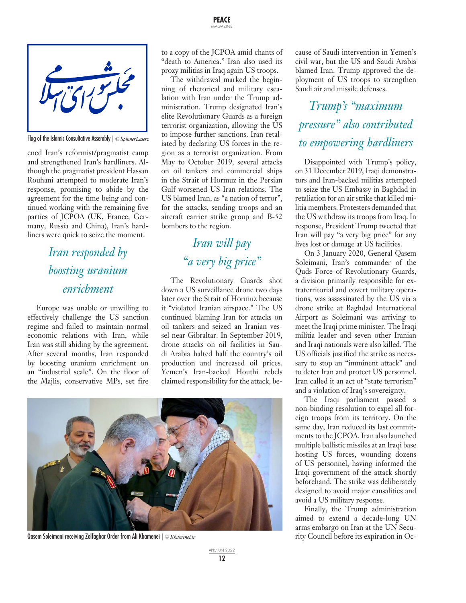

Flag of the Islamic Consultative Assembly | *© SpinnerLaserz*

ened Iran's reformist/pragmatist camp and strengthened Iran's hardliners. Although the pragmatist president Hassan Rouhani attempted to moderate Iran's response, promising to abide by the agreement for the time being and continued working with the remaining five parties of JCPOA (UK, France, Germany, Russia and China), Iran's hardliners were quick to seize the moment.

### *Iran responded by boosting uranium enrichment*

Europe was unable or unwilling to effectively challenge the US sanction regime and failed to maintain normal economic relations with Iran, while Iran was still abiding by the agreement. After several months, Iran responded by boosting uranium enrichment on an "industrial scale". On the floor of the Majlis, conservative MPs, set fire to a copy of the JCPOA amid chants of "death to America." Iran also used its proxy militias in Iraq again US troops.

The withdrawal marked the beginning of rhetorical and military escalation with Iran under the Trump administration. Trump designated Iran's elite Revolutionary Guards as a foreign terrorist organization, allowing the US to impose further sanctions. Iran retaliated by declaring US forces in the region as a terrorist organization. From May to October 2019, several attacks on oil tankers and commercial ships in the Strait of Hormuz in the Persian Gulf worsened US-Iran relations. The US blamed Iran, as "a nation of terror", for the attacks, sending troops and an aircraft carrier strike group and B-52 bombers to the region.

# *Iran will pay "a very big price"*

The Revolutionary Guards shot down a US surveillance drone two days later over the Strait of Hormuz because it "violated Iranian airspace." The US continued blaming Iran for attacks on oil tankers and seized an Iranian vessel near Gibraltar. In September 2019, drone attacks on oil facilities in Saudi Arabia halted half the country's oil production and increased oil prices. Yemen's Iran-backed Houthi rebels claimed responsibility for the attack, be-



Qasem Soleimani receiving Zolfaghar Order from Ali Khamenei | *© Khamenei.ir*

cause of Saudi intervention in Yemen's civil war, but the US and Saudi Arabia blamed Iran. Trump approved the deployment of US troops to strengthen Saudi air and missile defenses.

*Trump's "maximum pressure" also contributed to empowering hardliners*

Disappointed with Trump's policy, on 31 December 2019, Iraqi demonstrators and Iran-backed militias attempted to seize the US Embassy in Baghdad in retaliation for an air strike that killed militia members. Protesters demanded that the US withdraw its troops from Iraq. In response, President Trump tweeted that Iran will pay "a very big price" for any lives lost or damage at US facilities.

On 3 January 2020, General Qasem Soleimani, Iran's commander of the Quds Force of Revolutionary Guards, a division primarily responsible for extraterritorial and covert military operations, was assassinated by the US via a drone strike at Baghdad International Airport as Soleimani was arriving to meet the Iraqi prime minister. The Iraqi militia leader and seven other Iranian and Iraqi nationals were also killed. The US officials justified the strike as necessary to stop an "imminent attack" and to deter Iran and protect US personnel. Iran called it an act of "state terrorism" and a violation of Iraq's sovereignty.

The Iraqi parliament passed a non-binding resolution to expel all foreign troops from its territory. On the same day, Iran reduced its last commitments to the JCPOA. Iran also launched multiple ballistic missiles at an Iraqi base hosting US forces, wounding dozens of US personnel, having informed the Iraqi government of the attack shortly beforehand. The strike was deliberately designed to avoid major causalities and avoid a US military response.

Finally, the Trump administration aimed to extend a decade-long UN arms embargo on Iran at the UN Security Council before its expiration in Oc-